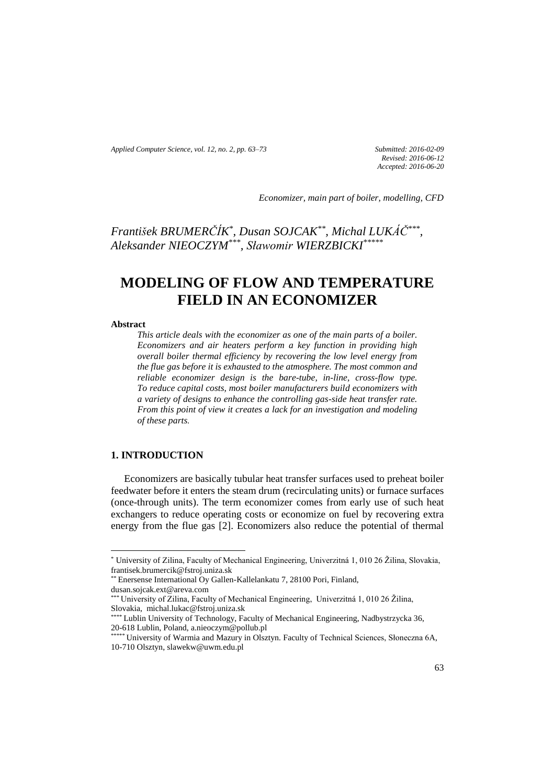*Applied Computer Science, vol. 12, no. 2, pp. 63–73 Submitted: 2016-02-09*

*Revised: 2016-06-12 Accepted: 2016-06-20*

*Economizer, main part of boiler, modelling, CFD*

*František BRUMERČÍK \* , Dusan SOJCAK\*\* , Michal LUKÁČ \*\*\* , Aleksander NIEOCZYM\*\*\* , Sławomir WIERZBICKI\*\*\*\*\**

# **MODELING OF FLOW AND TEMPERATURE FIELD IN AN ECONOMIZER**

#### **Abstract**

*This article deals with the economizer as one of the main parts of a boiler. Economizers and air heaters perform a key function in providing high overall boiler thermal efficiency by recovering the low level energy from the flue gas before it is exhausted to the atmosphere. The most common and reliable economizer design is the bare-tube, in-line, cross-flow type. To reduce capital costs, most boiler manufacturers build economizers with a variety of designs to enhance the controlling gas-side heat transfer rate. From this point of view it creates a lack for an investigation and modeling of these parts.*

# **1. INTRODUCTION**

Economizers are basically tubular heat transfer surfaces used to preheat boiler feedwater before it enters the steam drum (recirculating units) or furnace surfaces (once-through units). The term economizer comes from early use of such heat exchangers to reduce operating costs or economize on fuel by recovering extra energy from the flue gas [2]. Economizers also reduce the potential of thermal

 $\overline{a}$ 

<sup>\*</sup> University of Zilina, Faculty of Mechanical Engineering, Univerzitná 1, 010 26 Žilina, Slovakia, frantisek.brumercik@fstroj.uniza.sk

<sup>\*\*</sup> Enersense International Oy Gallen-Kallelankatu 7, 28100 Pori, Finland,

dusan.sojcak.ext@areva.com

<sup>\*\*\*</sup> University of Zilina, Faculty of Mechanical Engineering, Univerzitná 1, 010 26 Žilina, Slovakia, michal.lukac@fstroj.uniza.sk

<sup>\*\*\*\*</sup> Lublin University of Technology, Faculty of Mechanical Engineering, Nadbystrzycka 36, 20-618 Lublin, Poland, a.nieoczym@pollub.pl

<sup>&</sup>lt;sup>\*</sup> University of Warmia and Mazury in Olsztyn. Faculty of Technical Sciences, Słoneczna 6A, 10-710 Olsztyn, slawekw@uwm.edu.pl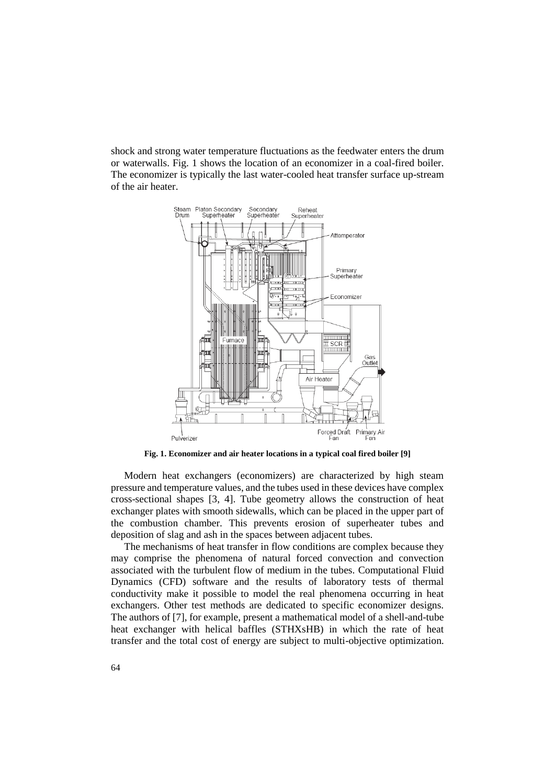shock and strong water temperature fluctuations as the feedwater enters the drum or waterwalls. Fig. 1 shows the location of an economizer in a coal-fired boiler. The economizer is typically the last water-cooled heat transfer surface up-stream of the air heater.



**Fig. 1. Economizer and air heater locations in a typical coal fired boiler [9]**

Modern heat exchangers (economizers) are characterized by high steam pressure and temperature values, and the tubes used in these devices have complex cross-sectional shapes [3, 4]. Tube geometry allows the construction of heat exchanger plates with smooth sidewalls, which can be placed in the upper part of the combustion chamber. This prevents erosion of superheater tubes and deposition of slag and ash in the spaces between adjacent tubes.

The mechanisms of heat transfer in flow conditions are complex because they may comprise the phenomena of natural forced convection and convection associated with the turbulent flow of medium in the tubes. Computational Fluid Dynamics (CFD) software and the results of laboratory tests of thermal conductivity make it possible to model the real phenomena occurring in heat exchangers. Other test methods are dedicated to specific economizer designs. The authors of [7], for example, present a mathematical model of a shell-and-tube heat exchanger with helical baffles (STHXsHB) in which the rate of heat transfer and the total cost of energy are subject to multi-objective optimization.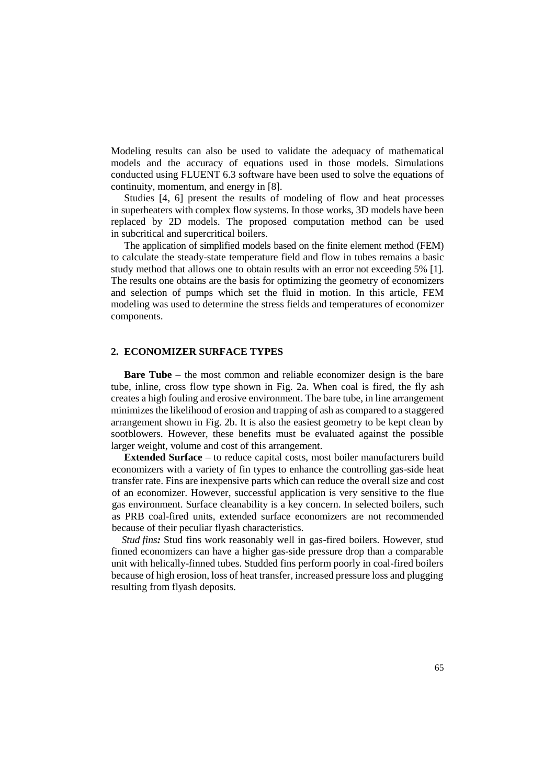Modeling results can also be used to validate the adequacy of mathematical models and the accuracy of equations used in those models. Simulations conducted using FLUENT 6.3 software have been used to solve the equations of continuity, momentum, and energy in [8].

Studies [4, 6] present the results of modeling of flow and heat processes in superheaters with complex flow systems. In those works, 3D models have been replaced by 2D models. The proposed computation method can be used in subcritical and supercritical boilers.

The application of simplified models based on the finite element method (FEM) to calculate the steady-state temperature field and flow in tubes remains a basic study method that allows one to obtain results with an error not exceeding 5% [1]. The results one obtains are the basis for optimizing the geometry of economizers and selection of pumps which set the fluid in motion. In this article, FEM modeling was used to determine the stress fields and temperatures of economizer components.

## **2. ECONOMIZER SURFACE TYPES**

**Bare Tube** – the most common and reliable economizer design is the bare tube, inline, cross flow type shown in Fig. 2a. When coal is fired, the fly ash creates a high fouling and erosive environment. The bare tube, in line arrangement minimizes the likelihood of erosion and trapping of ash as compared to a staggered arrangement shown in Fig. 2b. It is also the easiest geometry to be kept clean by sootblowers. However, these benefits must be evaluated against the possible larger weight, volume and cost of this arrangement.

**Extended Surface** – to reduce capital costs, most boiler manufacturers build economizers with a variety of fin types to enhance the controlling gas-side heat transfer rate. Fins are inexpensive parts which can reduce the overall size and cost of an economizer. However, successful application is very sensitive to the flue gas environment. Surface cleanability is a key concern. In selected boilers, such as PRB coal-fired units, extended surface economizers are not recommended because of their peculiar flyash characteristics.

*Stud fins:* Stud fins work reasonably well in gas-fired boilers. However, stud finned economizers can have a higher gas-side pressure drop than a comparable unit with helically-finned tubes. Studded fins perform poorly in coal-fired boilers because of high erosion, loss of heat transfer, increased pressure loss and plugging resulting from flyash deposits.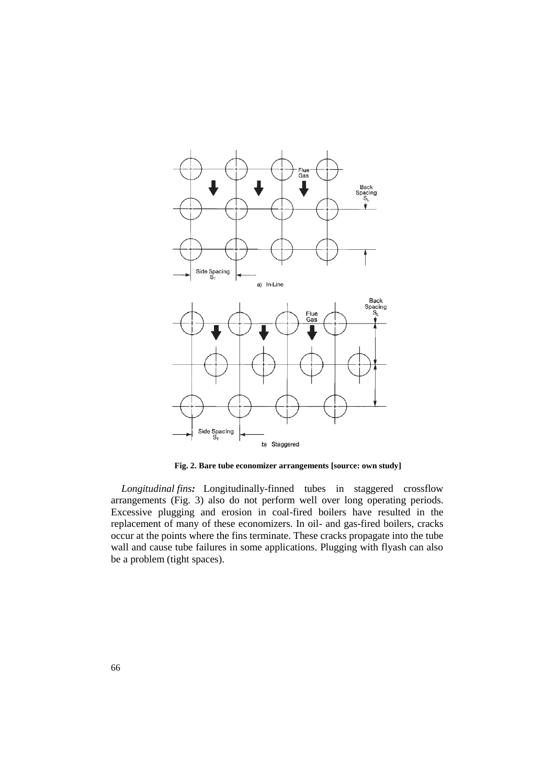

**Fig. 2. Bare tube economizer arrangements [source: own study]**

*Longitudinal fins:* Longitudinally-finned tubes in staggered crossflow arrangements (Fig. 3) also do not perform well over long operating periods. Excessive plugging and erosion in coal-fired boilers have resulted in the replacement of many of these economizers. In oil- and gas-fired boilers, cracks occur at the points where the fins terminate. These cracks propagate into the tube wall and cause tube failures in some applications. Plugging with flyash can also be a problem (tight spaces).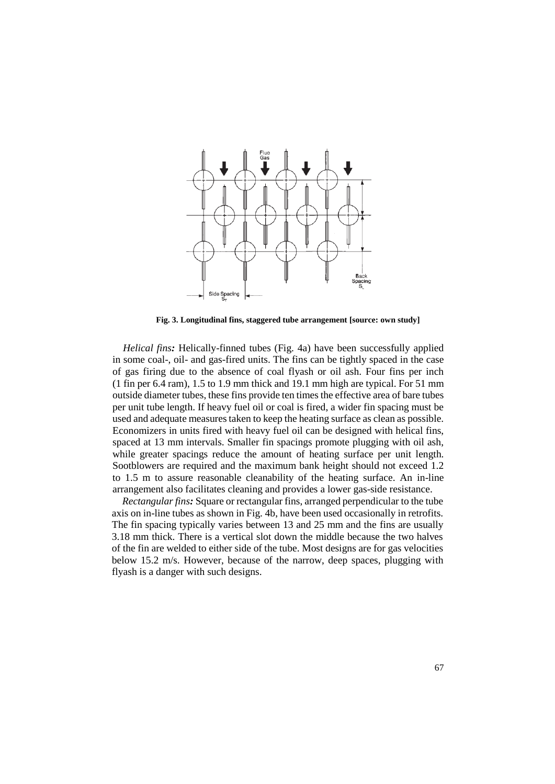

**Fig. 3. Longitudinal fins, staggered tube arrangement [source: own study]**

*Helical fins:* Helically-finned tubes (Fig. 4a) have been successfully applied in some coal-, oil- and gas-fired units. The fins can be tightly spaced in the case of gas firing due to the absence of coal flyash or oil ash. Four fins per inch (1 fin per 6.4 ram), 1.5 to 1.9 mm thick and 19.1 mm high are typical. For 51 mm outside diameter tubes, these fins provide ten times the effective area of bare tubes per unit tube length. If heavy fuel oil or coal is fired, a wider fin spacing must be used and adequate measures taken to keep the heating surface as clean as possible. Economizers in units fired with heavy fuel oil can be designed with helical fins, spaced at 13 mm intervals. Smaller fin spacings promote plugging with oil ash, while greater spacings reduce the amount of heating surface per unit length. Sootblowers are required and the maximum bank height should not exceed 1.2 to 1.5 m to assure reasonable cleanability of the heating surface. An in-line arrangement also facilitates cleaning and provides a lower gas-side resistance.

*Rectangular fins:* Square or rectangular fins, arranged perpendicular to the tube axis on in-line tubes as shown in Fig. 4b, have been used occasionally in retrofits. The fin spacing typically varies between 13 and 25 mm and the fins are usually 3.18 mm thick. There is a vertical slot down the middle because the two halves of the fin are welded to either side of the tube. Most designs are for gas velocities below 15.2 m/s. However, because of the narrow, deep spaces, plugging with flyash is a danger with such designs.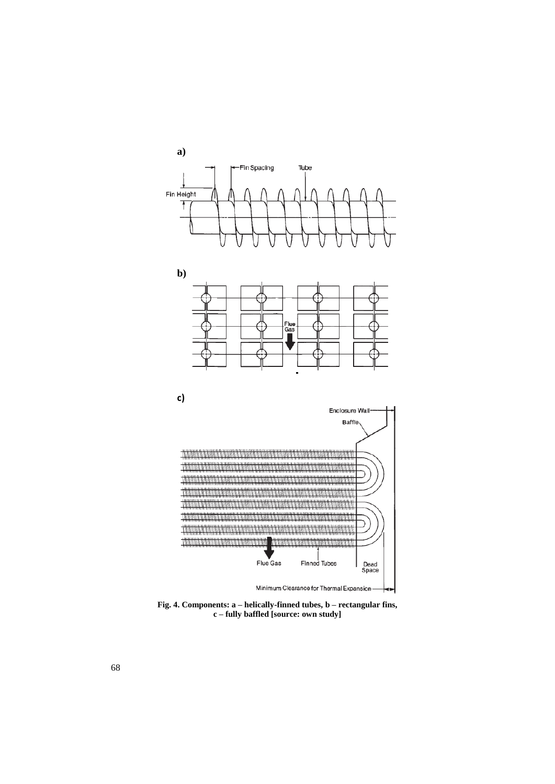

**Fig. 4. Components: a – helically-finned tubes, b – rectangular fins, c – fully baffled [source: own study]**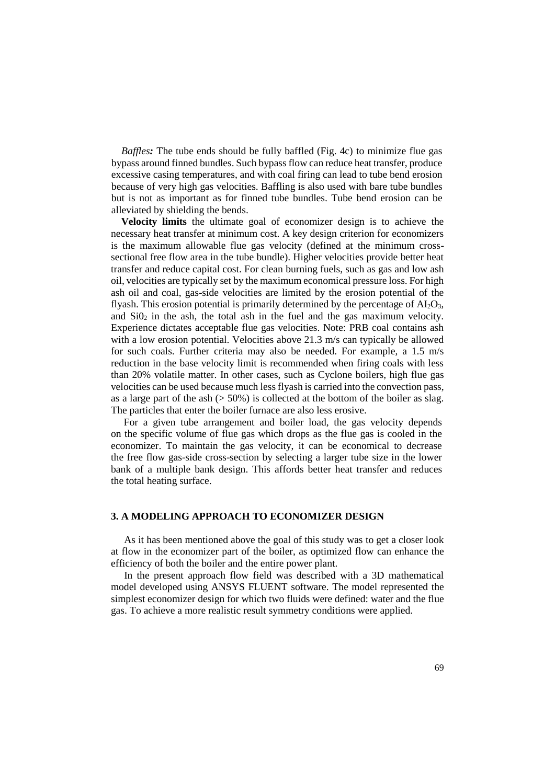*Baffles*: The tube ends should be fully baffled (Fig. 4c) to minimize flue gas bypass around finned bundles. Such bypass flow can reduce heat transfer, produce excessive casing temperatures, and with coal firing can lead to tube bend erosion because of very high gas velocities. Baffling is also used with bare tube bundles but is not as important as for finned tube bundles. Tube bend erosion can be alleviated by shielding the bends.

**Velocity limits** the ultimate goal of economizer design is to achieve the necessary heat transfer at minimum cost. A key design criterion for economizers is the maximum allowable flue gas velocity (defined at the minimum crosssectional free flow area in the tube bundle). Higher velocities provide better heat transfer and reduce capital cost. For clean burning fuels, such as gas and low ash oil, velocities are typically set by the maximum economical pressure loss. For high ash oil and coal, gas-side velocities are limited by the erosion potential of the flyash. This erosion potential is primarily determined by the percentage of  $AI_2O_3$ , and  $SiO<sub>2</sub>$  in the ash, the total ash in the fuel and the gas maximum velocity. Experience dictates acceptable flue gas velocities. Note: PRB coal contains ash with a low erosion potential. Velocities above 21.3 m/s can typically be allowed for such coals. Further criteria may also be needed. For example, a 1.5 m/s reduction in the base velocity limit is recommended when firing coals with less than 20% volatile matter. In other cases, such as Cyclone boilers, high flue gas velocities can be used because much less flyash is carried into the convection pass, as a large part of the ash  $(50\%)$  is collected at the bottom of the boiler as slag. The particles that enter the boiler furnace are also less erosive.

For a given tube arrangement and boiler load, the gas velocity depends on the specific volume of flue gas which drops as the flue gas is cooled in the economizer. To maintain the gas velocity, it can be economical to decrease the free flow gas-side cross-section by selecting a larger tube size in the lower bank of a multiple bank design. This affords better heat transfer and reduces the total heating surface.

### **3. A MODELING APPROACH TO ECONOMIZER DESIGN**

As it has been mentioned above the goal of this study was to get a closer look at flow in the economizer part of the boiler, as optimized flow can enhance the efficiency of both the boiler and the entire power plant.

In the present approach flow field was described with a 3D mathematical model developed using ANSYS FLUENT software. The model represented the simplest economizer design for which two fluids were defined: water and the flue gas. To achieve a more realistic result symmetry conditions were applied.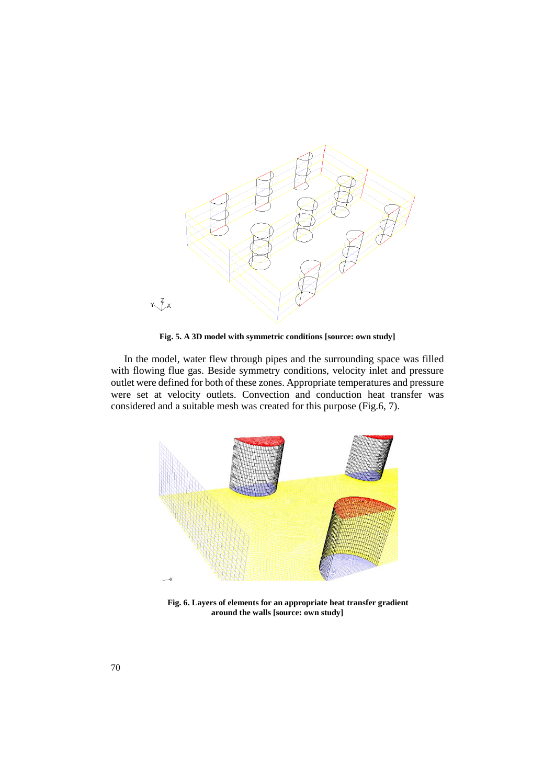

**Fig. 5. A 3D model with symmetric conditions [source: own study]**

In the model, water flew through pipes and the surrounding space was filled with flowing flue gas. Beside symmetry conditions, velocity inlet and pressure outlet were defined for both of these zones. Appropriate temperatures and pressure were set at velocity outlets. Convection and conduction heat transfer was considered and a suitable mesh was created for this purpose (Fig.6, 7).



**Fig. 6. Layers of elements for an appropriate heat transfer gradient around the walls [source: own study]**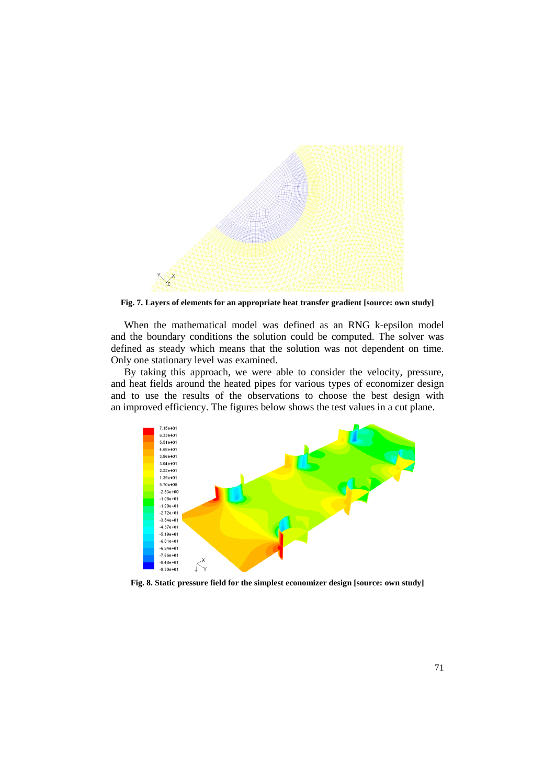

**Fig. 7. Layers of elements for an appropriate heat transfer gradient [source: own study]**

When the mathematical model was defined as an RNG k-epsilon model and the boundary conditions the solution could be computed. The solver was defined as steady which means that the solution was not dependent on time. Only one stationary level was examined.

By taking this approach, we were able to consider the velocity, pressure, and heat fields around the heated pipes for various types of economizer design and to use the results of the observations to choose the best design with an improved efficiency. The figures below shows the test values in a cut plane.



**Fig. 8. Static pressure field for the simplest economizer design [source: own study]**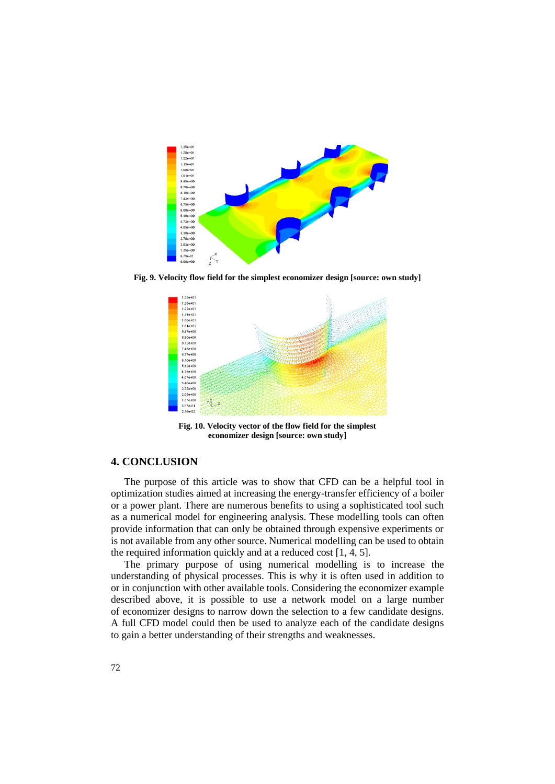

**Fig. 9. Velocity flow field for the simplest economizer design [source: own study]**



**Fig. 10. Velocity vector of the flow field for the simplest economizer design [source: own study]**

## **4. CONCLUSION**

The purpose of this article was to show that CFD can be a helpful tool in optimization studies aimed at increasing the energy-transfer efficiency of a boiler or a power plant. There are numerous benefits to using a sophisticated tool such as a numerical model for engineering analysis. These modelling tools can often provide information that can only be obtained through expensive experiments or is not available from any other source. Numerical modelling can be used to obtain the required information quickly and at a reduced cost [1, 4, 5].

The primary purpose of using numerical modelling is to increase the understanding of physical processes. This is why it is often used in addition to or in conjunction with other available tools. Considering the economizer example described above, it is possible to use a network model on a large number of economizer designs to narrow down the selection to a few candidate designs. A full CFD model could then be used to analyze each of the candidate designs to gain a better understanding of their strengths and weaknesses.